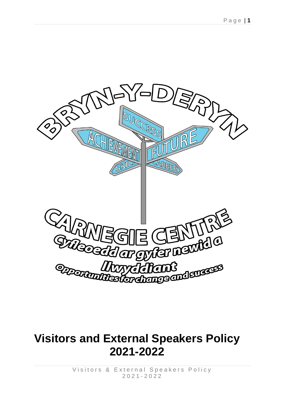

# **Visitors and External Speakers Policy 2021-2022**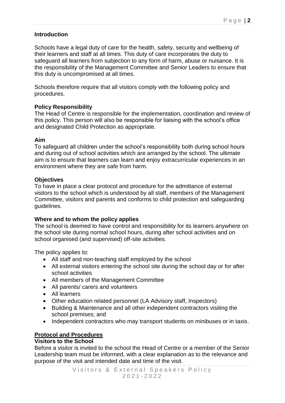# **Introduction**

Schools have a legal duty of care for the health, safety, security and wellbeing of their learners and staff at all times. This duty of care incorporates the duty to safeguard all learners from subjection to any form of harm, abuse or nuisance. It is the responsibility of the Management Committee and Senior Leaders to ensure that this duty is uncompromised at all times.

Schools therefore require that all visitors comply with the following policy and procedures.

# **Policy Responsibility**

The Head of Centre is responsible for the implementation, coordination and review of this policy. This person will also be responsible for liaising with the school's office and designated Child Protection as appropriate.

#### **Aim**

To safeguard all children under the school's responsibility both during school hours and during out of school activities which are arranged by the school. The ultimate aim is to ensure that learners can learn and enjoy extracurricular experiences in an environment where they are safe from harm.

#### **Objectives**

To have in place a clear protocol and procedure for the admittance of external visitors to the school which is understood by all staff, members of the Management Committee, visitors and parents and conforms to child protection and safeguarding guidelines.

#### **Where and to whom the policy applies**

The school is deemed to have control and responsibility for its learners anywhere on the school site during normal school hours, during after school activities and on school organised (and supervised) off-site activities.

The policy applies to:

- All staff and non-teaching staff employed by the school
- All external visitors entering the school site during the school day or for after school activities
- All members of the Management Committee
- All parents/ carers and volunteers
- All learners
- Other education related personnel (LA Advisory staff, Inspectors)
- Building & Maintenance and all other independent contractors visiting the school premises; and
- Independent contractors who may transport students on minibuses or in taxis.

# **Protocol and Procedures**

#### **Visitors to the School**

Before a visitor is invited to the school the Head of Centre or a member of the Senior Leadership team must be informed, with a clear explanation as to the relevance and purpose of the visit and intended date and time of the visit.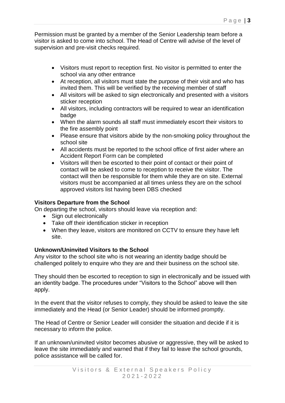Permission must be granted by a member of the Senior Leadership team before a visitor is asked to come into school. The Head of Centre will advise of the level of supervision and pre-visit checks required.

- Visitors must report to reception first. No visitor is permitted to enter the school via any other entrance
- At reception, all visitors must state the purpose of their visit and who has invited them. This will be verified by the receiving member of staff
- All visitors will be asked to sign electronically and presented with a visitors sticker reception
- All visitors, including contractors will be required to wear an identification badge
- When the alarm sounds all staff must immediately escort their visitors to the fire assembly point
- Please ensure that visitors abide by the non-smoking policy throughout the school site
- All accidents must be reported to the school office of first aider where an Accident Report Form can be completed
- Visitors will then be escorted to their point of contact or their point of contact will be asked to come to reception to receive the visitor. The contact will then be responsible for them while they are on site. External visitors must be accompanied at all times unless they are on the school approved visitors list having been DBS checked

# **Visitors Departure from the School**

On departing the school, visitors should leave via reception and:

- Sign out electronically
- Take off their identification sticker in reception
- When they leave, visitors are monitored on CCTV to ensure they have left site.

# **Unknown/Uninvited Visitors to the School**

Any visitor to the school site who is not wearing an identity badge should be challenged politely to enquire who they are and their business on the school site.

They should then be escorted to reception to sign in electronically and be issued with an identity badge. The procedures under "Visitors to the School" above will then apply.

In the event that the visitor refuses to comply, they should be asked to leave the site immediately and the Head (or Senior Leader) should be informed promptly.

The Head of Centre or Senior Leader will consider the situation and decide if it is necessary to inform the police.

If an unknown/uninvited visitor becomes abusive or aggressive, they will be asked to leave the site immediately and warned that if they fail to leave the school grounds, police assistance will be called for.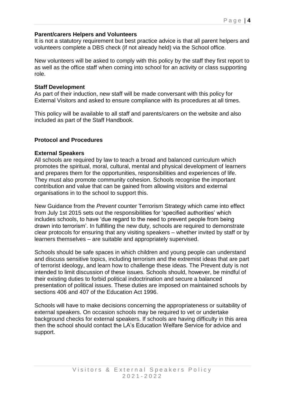#### **Parent/carers Helpers and Volunteers**

It is not a statutory requirement but best practice advice is that all parent helpers and volunteers complete a DBS check (if not already held) via the School office.

New volunteers will be asked to comply with this policy by the staff they first report to as well as the office staff when coming into school for an activity or class supporting role.

#### **Staff Development**

As part of their induction, new staff will be made conversant with this policy for External Visitors and asked to ensure compliance with its procedures at all times.

This policy will be available to all staff and parents/carers on the website and also included as part of the Staff Handbook.

#### **Protocol and Procedures**

#### **External Speakers**

All schools are required by law to teach a broad and balanced curriculum which promotes the spiritual, moral, cultural, mental and physical development of learners and prepares them for the opportunities, responsibilities and experiences of life. They must also promote community cohesion. Schools recognise the important contribution and value that can be gained from allowing visitors and external organisations in to the school to support this.

New Guidance from the *Prevent* counter Terrorism Strategy which came into effect from July 1st 2015 sets out the responsibilities for 'specified authorities' which includes schools, to have 'due regard to the need to prevent people from being drawn into terrorism'. In fulfilling the new duty, schools are required to demonstrate clear protocols for ensuring that any visiting speakers – whether invited by staff or by learners themselves – are suitable and appropriately supervised.

Schools should be safe spaces in which children and young people can understand and discuss sensitive topics, including terrorism and the extremist ideas that are part of terrorist ideology, and learn how to challenge these ideas. The Prevent duty is not intended to limit discussion of these issues. Schools should, however, be mindful of their existing duties to forbid political indoctrination and secure a balanced presentation of political issues. These duties are imposed on maintained schools by sections 406 and 407 of the Education Act 1996.

Schools will have to make decisions concerning the appropriateness or suitability of external speakers. On occasion schools may be required to vet or undertake background checks for external speakers. If schools are having difficulty in this area then the school should contact the LA's Education Welfare Service for advice and support.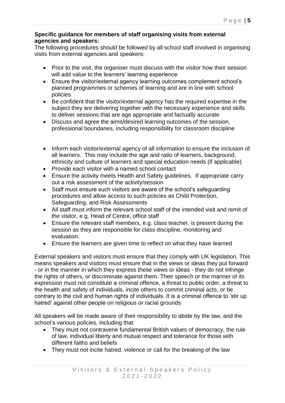## **Specific guidance for members of staff organising visits from external agencies and speakers:**

The following procedures should be followed by all school staff involved in organising visits from external agencies and speakers:

- Prior to the visit, the organiser must discuss with the visitor how their session will add value to the learners' learning experience
- Ensure the visitor/external agency learning outcomes complement school's planned programmes or schemes of learning and are in line with school policies
- Be confident that the visitor/external agency has the required expertise in the subject they are delivering together with the necessary experience and skills to deliver sessions that are age appropriate and factually accurate
- Discuss and agree the aims/desired learning outcomes of the session, professional boundaries, including responsibility for classroom discipline
- Inform each visitor/external agency of all information to ensure the inclusion of all learners. This may include the age and ratio of learners, background, ethnicity and culture of learners and special education needs (if applicable)
- Provide each visitor with a named school contact
- Ensure the activity meets Health and Safety quidelines. If appropriate carry out a risk assessment of the activity/session
- Staff must ensure such visitors are aware of the school's safeguarding procedures and allow access to such policies as Child Protection, Safeguarding, and Risk Assessments
- All staff must inform the relevant school staff of the intended visit and remit of the visitor, e.g. Head of Centre, office staff
- Ensure the relevant staff members, e.g. class teacher, is present during the session as they are responsible for class discipline, monitoring and evaluation.
- Ensure the learners are given time to reflect on what they have learned

External speakers and visitors must ensure that they comply with UK legislation. This means speakers and visitors must ensure that in the views or ideas they put forward - or in the manner in which they express these views or ideas - they do not infringe the rights of others, or discriminate against them. Their speech or the manner of its expression must not constitute a criminal offence, a threat to public order, a threat to the health and safety of individuals, incite others to commit criminal acts, or be contrary to the civil and human rights of individuals. It is a criminal offence to 'stir up hatred' against other people on religious or racial grounds

All speakers will be made aware of their responsibility to abide by the law, and the school's various policies, including that:

- They must not contravene fundamental British values of democracy, the rule of law, individual liberty and mutual respect and tolerance for those with different faiths and beliefs
- They must not incite hatred, violence or call for the breaking of the law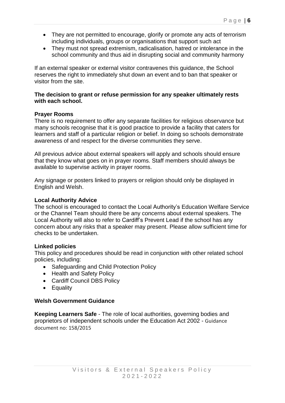- They are not permitted to encourage, glorify or promote any acts of terrorism including individuals, groups or organisations that support such act
- They must not spread extremism, radicalisation, hatred or intolerance in the school community and thus aid in disrupting social and community harmony

If an external speaker or external visitor contravenes this guidance, the School reserves the right to immediately shut down an event and to ban that speaker or visitor from the site.

#### **The decision to grant or refuse permission for any speaker ultimately rests with each school.**

#### **Prayer Rooms**

There is no requirement to offer any separate facilities for religious observance but many schools recognise that it is good practice to provide a facility that caters for learners and staff of a particular religion or belief. In doing so schools demonstrate awareness of and respect for the diverse communities they serve.

All previous advice about external speakers will apply and schools should ensure that they know what goes on in prayer rooms. Staff members should always be available to supervise activity in prayer rooms.

Any signage or posters linked to prayers or religion should only be displayed in English and Welsh.

#### **Local Authority Advice**

The school is encouraged to contact the Local Authority's Education Welfare Service or the Channel Team should there be any concerns about external speakers. The Local Authority will also to refer to Cardiff's Prevent Lead if the school has any concern about any risks that a speaker may present. Please allow sufficient time for checks to be undertaken.

#### **Linked policies**

This policy and procedures should be read in conjunction with other related school policies, including:

- Safeguarding and Child Protection Policy
- Health and Safety Policy
- Cardiff Council DBS Policy
- Equality

#### **Welsh Government Guidance**

**Keeping Learners Safe** - The role of local authorities, governing bodies and proprietors of independent schools under the Education Act 2002 - Guidance document no: 158/2015